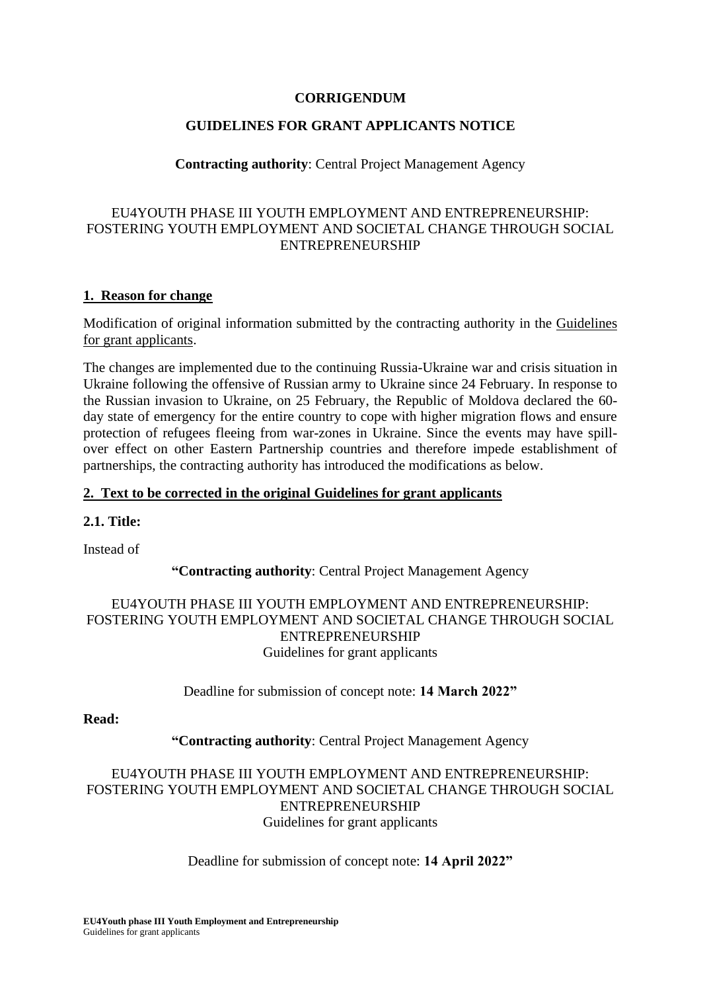#### **CORRIGENDUM**

## **GUIDELINES FOR GRANT APPLICANTS NOTICE**

## **Contracting authority**: Central Project Management Agency

## EU4YOUTH PHASE III YOUTH EMPLOYMENT AND ENTREPRENEURSHIP: FOSTERING YOUTH EMPLOYMENT AND SOCIETAL CHANGE THROUGH SOCIAL ENTREPRENEURSHIP

## **1. Reason for change**

Modification of original information submitted by the contracting authority in the Guidelines for grant applicants.

The changes are implemented due to the continuing Russia-Ukraine war and crisis situation in Ukraine following the offensive of Russian army to Ukraine since 24 February. In response to the Russian invasion to Ukraine, on 25 February, the Republic of Moldova declared the 60 day state of emergency for the entire country to cope with higher migration flows and ensure protection of refugees fleeing from war-zones in Ukraine. Since the events may have spillover effect on other Eastern Partnership countries and therefore impede establishment of partnerships, the contracting authority has introduced the modifications as below.

## **2. Text to be corrected in the original Guidelines for grant applicants**

## **2.1. Title:**

Instead of

## **"Contracting authority**: Central Project Management Agency

## EU4YOUTH PHASE III YOUTH EMPLOYMENT AND ENTREPRENEURSHIP: FOSTERING YOUTH EMPLOYMENT AND SOCIETAL CHANGE THROUGH SOCIAL ENTREPRENEURSHIP Guidelines for grant applicants

## Deadline for submission of concept note: **14 March 2022"**

#### **Read:**

## **"Contracting authority**: Central Project Management Agency

## EU4YOUTH PHASE III YOUTH EMPLOYMENT AND ENTREPRENEURSHIP: FOSTERING YOUTH EMPLOYMENT AND SOCIETAL CHANGE THROUGH SOCIAL ENTREPRENEURSHIP Guidelines for grant applicants

## Deadline for submission of concept note: **14 April 2022"**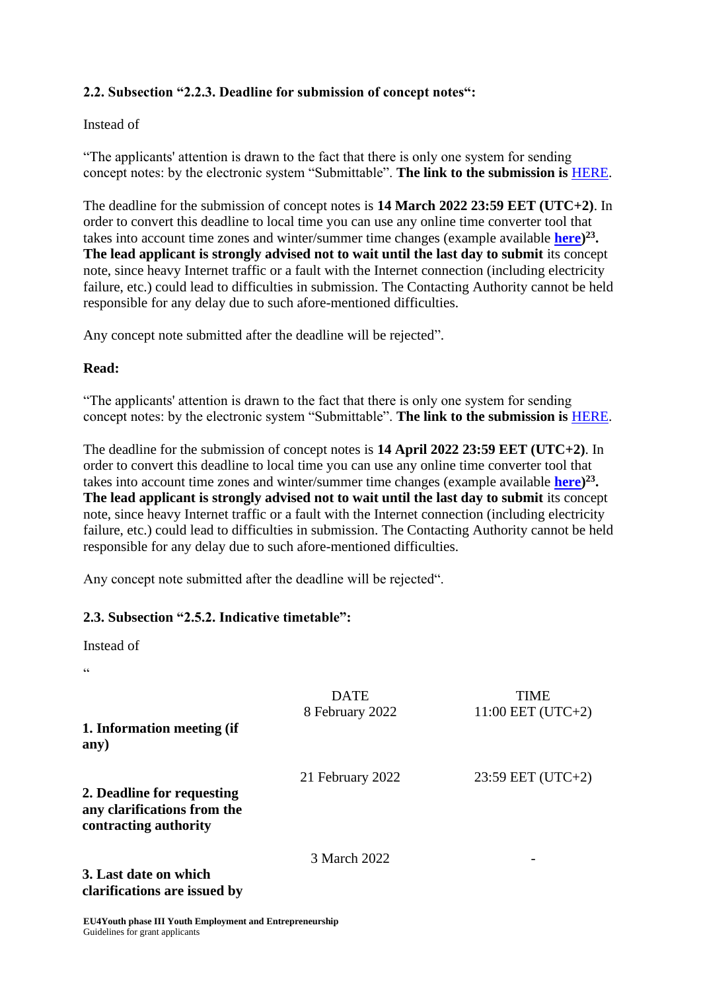# **2.2. Subsection "2.2.3. Deadline for submission of concept notes":**

## Instead of

"The applicants' attention is drawn to the fact that there is only one system for sending concept notes: by the electronic system "Submittable". **The link to the submission is** [HERE.](https://centralprojectmanagementagencyyouthaccount.submittable.com/submit/202610/eu4youth-phase-iii-youth-employment-and-entrepreneurship)

The deadline for the submission of concept notes is **14 March 2022 23:59 EET (UTC+2)**. In order to convert this deadline to local time you can use any online time converter tool that takes into account time zones and winter/summer time changes (example available **here**)<sup>23</sup>. **The lead applicant is strongly advised not to wait until the last day to submit** its concept note, since heavy Internet traffic or a fault with the Internet connection (including electricity failure, etc.) could lead to difficulties in submission. The Contacting Authority cannot be held responsible for any delay due to such afore-mentioned difficulties.

Any concept note submitted after the deadline will be rejected".

## **Read:**

"The applicants' attention is drawn to the fact that there is only one system for sending concept notes: by the electronic system "Submittable". **The link to the submission is** [HERE.](https://centralprojectmanagementagencyyouthaccount.submittable.com/submit/202610/eu4youth-phase-iii-youth-employment-and-entrepreneurship)

The deadline for the submission of concept notes is **14 April 2022 23:59 EET (UTC+2)**. In order to convert this deadline to local time you can use any online time converter tool that takes into account time zones and winter/summer time changes (example available **here**)<sup>23</sup>. **The lead applicant is strongly advised not to wait until the last day to submit** its concept note, since heavy Internet traffic or a fault with the Internet connection (including electricity failure, etc.) could lead to difficulties in submission. The Contacting Authority cannot be held responsible for any delay due to such afore-mentioned difficulties.

Any concept note submitted after the deadline will be rejected".

## **2.3. Subsection "2.5.2. Indicative timetable":**

Instead of

.<br>C

| 1. Information meeting (if<br>any)                                                 | <b>DATE</b><br>8 February 2022 | TIME<br>$11:00$ EET (UTC+2) |
|------------------------------------------------------------------------------------|--------------------------------|-----------------------------|
| 2. Deadline for requesting<br>any clarifications from the<br>contracting authority | 21 February 2022               | $23:59$ EET (UTC+2)         |
| 3. Last date on which<br>clarifications are issued by                              | 3 March 2022                   |                             |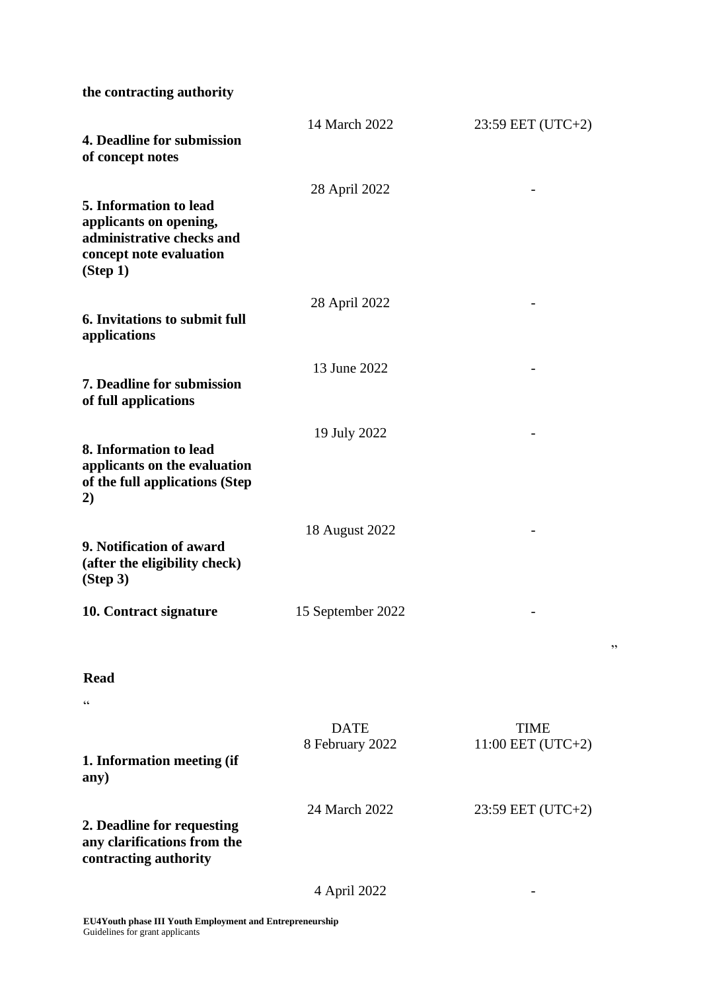**the contracting authority** 

| 4. Deadline for submission<br>of concept notes                                                                       | 14 March 2022                  | 23:59 EET (UTC+2)                  |
|----------------------------------------------------------------------------------------------------------------------|--------------------------------|------------------------------------|
| 5. Information to lead<br>applicants on opening,<br>administrative checks and<br>concept note evaluation<br>(Stop 1) | 28 April 2022                  |                                    |
| 6. Invitations to submit full<br>applications                                                                        | 28 April 2022                  |                                    |
| <b>7. Deadline for submission</b><br>of full applications                                                            | 13 June 2022                   |                                    |
| 8. Information to lead<br>applicants on the evaluation<br>of the full applications (Step<br>2)                       | 19 July 2022                   |                                    |
| 9. Notification of award<br>(after the eligibility check)<br>(Step 3)                                                | 18 August 2022                 |                                    |
| 10. Contract signature                                                                                               | 15 September 2022              |                                    |
| <b>Read</b><br>$\zeta$ $\zeta$                                                                                       |                                |                                    |
| 1. Information meeting (if<br>any)                                                                                   | <b>DATE</b><br>8 February 2022 | <b>TIME</b><br>$11:00$ EET (UTC+2) |
| 2. Deadline for requesting<br>any clarifications from the<br>contracting authority                                   | 24 March 2022                  | 23:59 EET (UTC+2)                  |
|                                                                                                                      | 4 April 2022                   |                                    |
|                                                                                                                      |                                |                                    |

"

**EU4Youth phase III Youth Employment and Entrepreneurship**  Guidelines for grant applicants